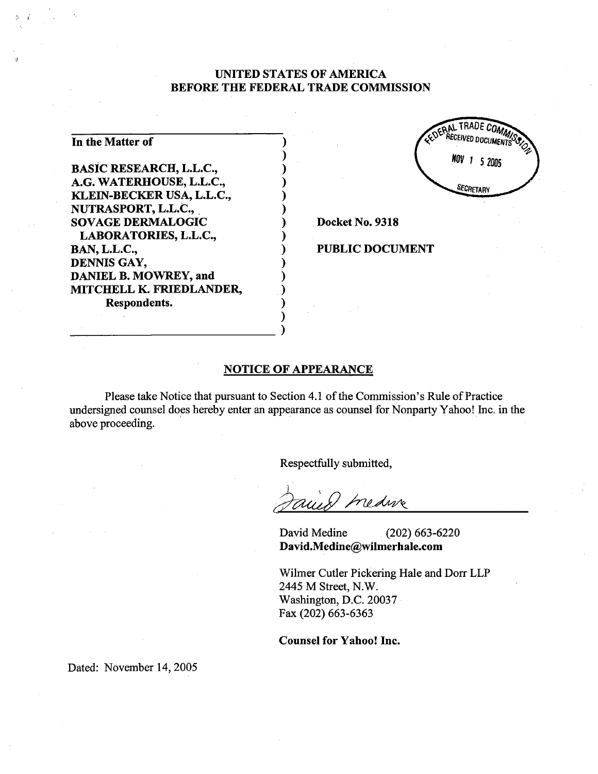## UNITED STATES OF AMERICA BEFORE THE FEDERAL TRADE COMMISSION

| In the Matter of               |  |
|--------------------------------|--|
| <b>BASIC RESEARCH, L.L.C.,</b> |  |
| A.G. WATERHOUSE, L.L.C.,       |  |
| KLEIN-BECKER USA, L.L.C.,      |  |
| NUTRASPORT, L.L.C.,            |  |
| <b>SOVAGE DERMALOGIC</b>       |  |
| LABORATORIES, L.L.C.,          |  |
| <b>BAN, L.L.C.,</b>            |  |
| DENNIS GAY,                    |  |
| DANIEL B. MOWREY, and          |  |
| MITCHELL K. FRIEDLANDER,       |  |
| Respondents.                   |  |
|                                |  |



Docket No. 9318

PUBLIC DOCUMENT

## **NOTICE OF APPEARANCE**

Please take Notice that pursuant to Section 4.1 of the Commission's Rule of Practice undersigned counsel does hereby enter an appearance as counsel for Nonpary Yahoo! Inc. in the above proceeding.

Respectfully submitted

medure

David Medine (202) 663-<sup>6220</sup> David.Medine@wilmerhale.com

Wilmer Cutler Pickering Hale and Dorr LLP 2445 M Street, N. Washington, D.C. 20037 Fax (202) 663-6363

Counsel for Yahoo! Inc.

Dated: November 14, 2005